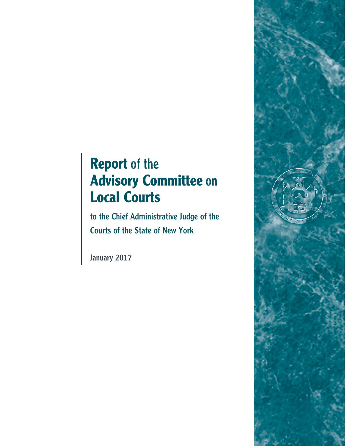# **Report** of the **Advisory Committee** on **Local Courts**

to the Chief Administrative Judge of the Courts of the State of New York

January 2017

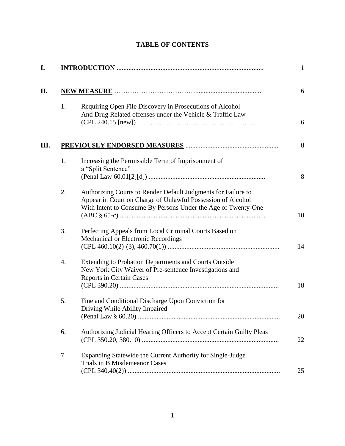# **TABLE OF CONTENTS**

|    |                                                                                                                                                                                               | $\mathbf{1}$ |
|----|-----------------------------------------------------------------------------------------------------------------------------------------------------------------------------------------------|--------------|
|    |                                                                                                                                                                                               | 6            |
| 1. | Requiring Open File Discovery in Prosecutions of Alcohol<br>And Drug Related offenses under the Vehicle & Traffic Law<br>$(CPL 240.15$ [new])                                                 | 6            |
|    |                                                                                                                                                                                               | 8            |
| 1. | Increasing the Permissible Term of Imprisonment of<br>a "Split Sentence"                                                                                                                      | 8            |
| 2. | Authorizing Courts to Render Default Judgments for Failure to<br>Appear in Court on Charge of Unlawful Possession of Alcohol<br>With Intent to Consume By Persons Under the Age of Twenty-One | 10           |
| 3. | Perfecting Appeals from Local Criminal Courts Based on<br>Mechanical or Electronic Recordings                                                                                                 | 14           |
| 4. | <b>Extending to Probation Departments and Courts Outside</b><br>New York City Waiver of Pre-sentence Investigations and<br><b>Reports in Certain Cases</b>                                    | 18           |
| 5. | Fine and Conditional Discharge Upon Conviction for<br>Driving While Ability Impaired                                                                                                          | 20           |
| 6. | Authorizing Judicial Hearing Officers to Accept Certain Guilty Pleas                                                                                                                          | 22           |
| 7. | Expanding Statewide the Current Authority for Single-Judge<br><b>Trials in B Misdemeanor Cases</b>                                                                                            | 25           |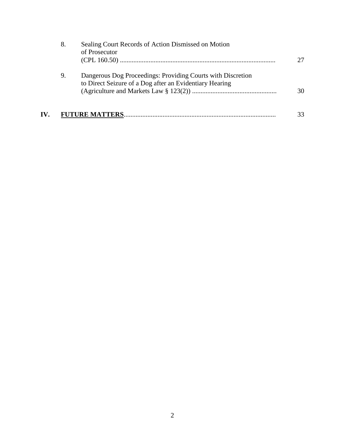|     | 8. | Sealing Court Records of Action Dismissed on Motion<br>of Prosecutor                                                   | 27 |
|-----|----|------------------------------------------------------------------------------------------------------------------------|----|
|     | 9. | Dangerous Dog Proceedings: Providing Courts with Discretion<br>to Direct Seizure of a Dog after an Evidentiary Hearing | 30 |
| IV. |    |                                                                                                                        | 33 |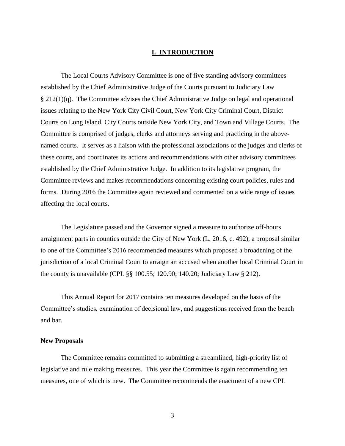## **I. INTRODUCTION**

The Local Courts Advisory Committee is one of five standing advisory committees established by the Chief Administrative Judge of the Courts pursuant to Judiciary Law § 212(1)(q). The Committee advises the Chief Administrative Judge on legal and operational issues relating to the New York City Civil Court, New York City Criminal Court, District Courts on Long Island, City Courts outside New York City, and Town and Village Courts. The Committee is comprised of judges, clerks and attorneys serving and practicing in the abovenamed courts. It serves as a liaison with the professional associations of the judges and clerks of these courts, and coordinates its actions and recommendations with other advisory committees established by the Chief Administrative Judge. In addition to its legislative program, the Committee reviews and makes recommendations concerning existing court policies, rules and forms. During 2016 the Committee again reviewed and commented on a wide range of issues affecting the local courts.

The Legislature passed and the Governor signed a measure to authorize off-hours arraignment parts in counties outside the City of New York (L. 2016, c. 492), a proposal similar to one of the Committee's 2016 recommended measures which proposed a broadening of the jurisdiction of a local Criminal Court to arraign an accused when another local Criminal Court in the county is unavailable (CPL §§ 100.55; 120.90; 140.20; Judiciary Law § 212).

This Annual Report for 2017 contains ten measures developed on the basis of the Committee's studies, examination of decisional law, and suggestions received from the bench and bar.

## **New Proposals**

The Committee remains committed to submitting a streamlined, high-priority list of legislative and rule making measures. This year the Committee is again recommending ten measures, one of which is new. The Committee recommends the enactment of a new CPL

3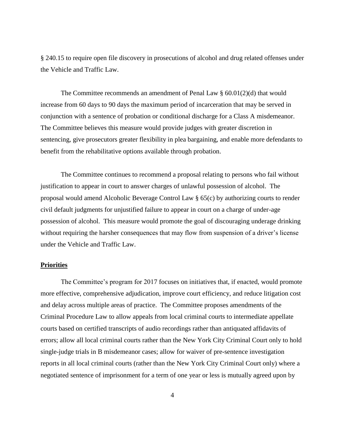§ 240.15 to require open file discovery in prosecutions of alcohol and drug related offenses under the Vehicle and Traffic Law.

The Committee recommends an amendment of Penal Law  $\S$  60.01(2)(d) that would increase from 60 days to 90 days the maximum period of incarceration that may be served in conjunction with a sentence of probation or conditional discharge for a Class A misdemeanor. The Committee believes this measure would provide judges with greater discretion in sentencing, give prosecutors greater flexibility in plea bargaining, and enable more defendants to benefit from the rehabilitative options available through probation.

The Committee continues to recommend a proposal relating to persons who fail without justification to appear in court to answer charges of unlawful possession of alcohol. The proposal would amend Alcoholic Beverage Control Law § 65(c) by authorizing courts to render civil default judgments for unjustified failure to appear in court on a charge of under-age possession of alcohol. This measure would promote the goal of discouraging underage drinking without requiring the harsher consequences that may flow from suspension of a driver's license under the Vehicle and Traffic Law.

## **Priorities**

The Committee's program for 2017 focuses on initiatives that, if enacted, would promote more effective, comprehensive adjudication, improve court efficiency, and reduce litigation cost and delay across multiple areas of practice. The Committee proposes amendments of the Criminal Procedure Law to allow appeals from local criminal courts to intermediate appellate courts based on certified transcripts of audio recordings rather than antiquated affidavits of errors; allow all local criminal courts rather than the New York City Criminal Court only to hold single-judge trials in B misdemeanor cases; allow for waiver of pre-sentence investigation reports in all local criminal courts (rather than the New York City Criminal Court only) where a negotiated sentence of imprisonment for a term of one year or less is mutually agreed upon by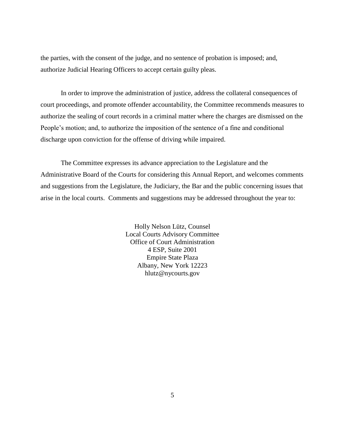the parties, with the consent of the judge, and no sentence of probation is imposed; and, authorize Judicial Hearing Officers to accept certain guilty pleas.

In order to improve the administration of justice, address the collateral consequences of court proceedings, and promote offender accountability, the Committee recommends measures to authorize the sealing of court records in a criminal matter where the charges are dismissed on the People's motion; and, to authorize the imposition of the sentence of a fine and conditional discharge upon conviction for the offense of driving while impaired.

The Committee expresses its advance appreciation to the Legislature and the Administrative Board of the Courts for considering this Annual Report, and welcomes comments and suggestions from the Legislature, the Judiciary, the Bar and the public concerning issues that arise in the local courts. Comments and suggestions may be addressed throughout the year to:

> Holly Nelson Lütz, Counsel Local Courts Advisory Committee Office of Court Administration 4 ESP, Suite 2001 Empire State Plaza Albany, New York 12223 hlutz@nycourts.gov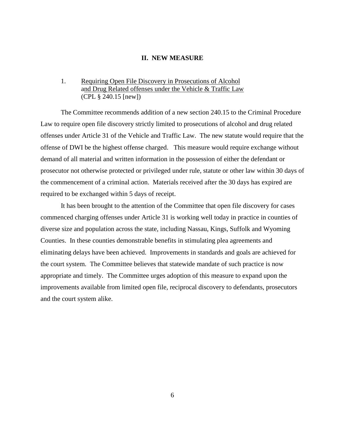#### **II. NEW MEASURE**

# 1. Requiring Open File Discovery in Prosecutions of Alcohol and Drug Related offenses under the Vehicle & Traffic Law (CPL § 240.15 [new])

The Committee recommends addition of a new section 240.15 to the Criminal Procedure Law to require open file discovery strictly limited to prosecutions of alcohol and drug related offenses under Article 31 of the Vehicle and Traffic Law. The new statute would require that the offense of DWI be the highest offense charged. This measure would require exchange without demand of all material and written information in the possession of either the defendant or prosecutor not otherwise protected or privileged under rule, statute or other law within 30 days of the commencement of a criminal action. Materials received after the 30 days has expired are required to be exchanged within 5 days of receipt.

It has been brought to the attention of the Committee that open file discovery for cases commenced charging offenses under Article 31 is working well today in practice in counties of diverse size and population across the state, including Nassau, Kings, Suffolk and Wyoming Counties. In these counties demonstrable benefits in stimulating plea agreements and eliminating delays have been achieved. Improvements in standards and goals are achieved for the court system. The Committee believes that statewide mandate of such practice is now appropriate and timely. The Committee urges adoption of this measure to expand upon the improvements available from limited open file, reciprocal discovery to defendants, prosecutors and the court system alike.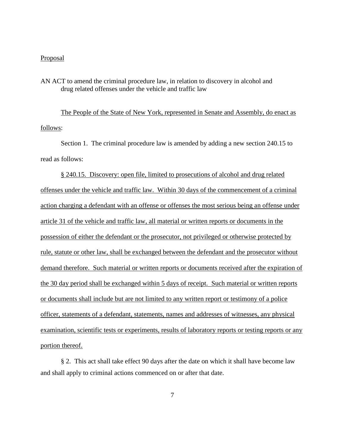#### Proposal

AN ACT to amend the criminal procedure law, in relation to discovery in alcohol and drug related offenses under the vehicle and traffic law

The People of the State of New York, represented in Senate and Assembly, do enact as follows:

Section 1. The criminal procedure law is amended by adding a new section 240.15 to read as follows:

§ 240.15. Discovery: open file, limited to prosecutions of alcohol and drug related offenses under the vehicle and traffic law. Within 30 days of the commencement of a criminal action charging a defendant with an offense or offenses the most serious being an offense under article 31 of the vehicle and traffic law, all material or written reports or documents in the possession of either the defendant or the prosecutor, not privileged or otherwise protected by rule, statute or other law, shall be exchanged between the defendant and the prosecutor without demand therefore. Such material or written reports or documents received after the expiration of the 30 day period shall be exchanged within 5 days of receipt. Such material or written reports or documents shall include but are not limited to any written report or testimony of a police officer, statements of a defendant, statements, names and addresses of witnesses, any physical examination, scientific tests or experiments, results of laboratory reports or testing reports or any portion thereof.

§ 2. This act shall take effect 90 days after the date on which it shall have become law and shall apply to criminal actions commenced on or after that date.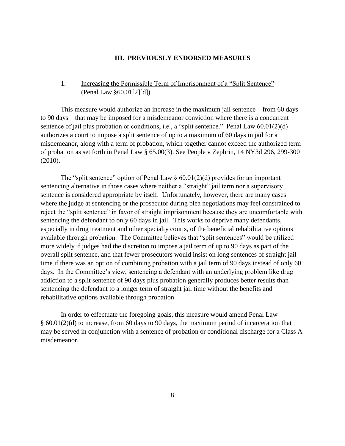### **III. PREVIOUSLY ENDORSED MEASURES**

# 1. Increasing the Permissible Term of Imprisonment of a "Split Sentence" (Penal Law §60.01[2][d])

This measure would authorize an increase in the maximum jail sentence – from 60 days to 90 days – that may be imposed for a misdemeanor conviction where there is a concurrent sentence of jail plus probation or conditions, i.e., a "split sentence." Penal Law 60.01(2)(d) authorizes a court to impose a split sentence of up to a maximum of 60 days in jail for a misdemeanor, along with a term of probation, which together cannot exceed the authorized term of probation as set forth in Penal Law § 65.00(3). See People v Zephrin, 14 NY3d 296, 299-300 (2010).

The "split sentence" option of Penal Law  $\S 60.01(2)(d)$  provides for an important sentencing alternative in those cases where neither a "straight" jail term nor a supervisory sentence is considered appropriate by itself. Unfortunately, however, there are many cases where the judge at sentencing or the prosecutor during plea negotiations may feel constrained to reject the "split sentence" in favor of straight imprisonment because they are uncomfortable with sentencing the defendant to only 60 days in jail. This works to deprive many defendants, especially in drug treatment and other specialty courts, of the beneficial rehabilitative options available through probation. The Committee believes that "split sentences" would be utilized more widely if judges had the discretion to impose a jail term of up to 90 days as part of the overall split sentence, and that fewer prosecutors would insist on long sentences of straight jail time if there was an option of combining probation with a jail term of 90 days instead of only 60 days. In the Committee's view, sentencing a defendant with an underlying problem like drug addiction to a split sentence of 90 days plus probation generally produces better results than sentencing the defendant to a longer term of straight jail time without the benefits and rehabilitative options available through probation.

In order to effectuate the foregoing goals, this measure would amend Penal Law § 60.01(2)(d) to increase, from 60 days to 90 days, the maximum period of incarceration that may be served in conjunction with a sentence of probation or conditional discharge for a Class A misdemeanor.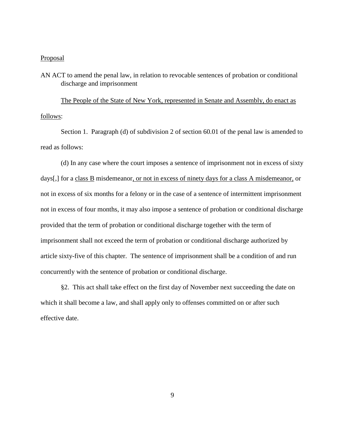#### **Proposal**

# AN ACT to amend the penal law, in relation to revocable sentences of probation or conditional discharge and imprisonment

The People of the State of New York, represented in Senate and Assembly, do enact as follows:

Section 1. Paragraph (d) of subdivision 2 of section 60.01 of the penal law is amended to read as follows:

(d) In any case where the court imposes a sentence of imprisonment not in excess of sixty days[,] for a class B misdemeanor, or not in excess of ninety days for a class A misdemeanor, or not in excess of six months for a felony or in the case of a sentence of intermittent imprisonment not in excess of four months, it may also impose a sentence of probation or conditional discharge provided that the term of probation or conditional discharge together with the term of imprisonment shall not exceed the term of probation or conditional discharge authorized by article sixty-five of this chapter. The sentence of imprisonment shall be a condition of and run concurrently with the sentence of probation or conditional discharge.

§2. This act shall take effect on the first day of November next succeeding the date on which it shall become a law, and shall apply only to offenses committed on or after such effective date.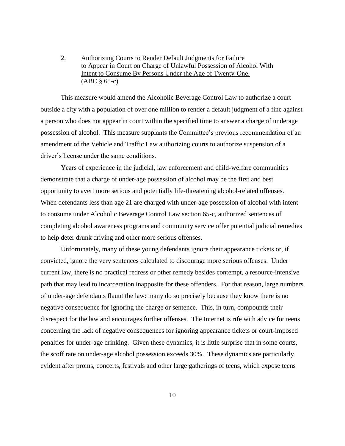2. Authorizing Courts to Render Default Judgments for Failure to Appear in Court on Charge of Unlawful Possession of Alcohol With Intent to Consume By Persons Under the Age of Twenty-One. (ABC § 65-c)

This measure would amend the Alcoholic Beverage Control Law to authorize a court outside a city with a population of over one million to render a default judgment of a fine against a person who does not appear in court within the specified time to answer a charge of underage possession of alcohol. This measure supplants the Committee's previous recommendation of an amendment of the Vehicle and Traffic Law authorizing courts to authorize suspension of a driver's license under the same conditions.

Years of experience in the judicial, law enforcement and child-welfare communities demonstrate that a charge of under-age possession of alcohol may be the first and best opportunity to avert more serious and potentially life-threatening alcohol-related offenses. When defendants less than age 21 are charged with under-age possession of alcohol with intent to consume under Alcoholic Beverage Control Law section 65-c, authorized sentences of completing alcohol awareness programs and community service offer potential judicial remedies to help deter drunk driving and other more serious offenses.

Unfortunately, many of these young defendants ignore their appearance tickets or, if convicted, ignore the very sentences calculated to discourage more serious offenses. Under current law, there is no practical redress or other remedy besides contempt, a resource-intensive path that may lead to incarceration inapposite for these offenders. For that reason, large numbers of under-age defendants flaunt the law: many do so precisely because they know there is no negative consequence for ignoring the charge or sentence. This, in turn, compounds their disrespect for the law and encourages further offenses. The Internet is rife with advice for teens concerning the lack of negative consequences for ignoring appearance tickets or court-imposed penalties for under-age drinking. Given these dynamics, it is little surprise that in some courts, the scoff rate on under-age alcohol possession exceeds 30%. These dynamics are particularly evident after proms, concerts, festivals and other large gatherings of teens, which expose teens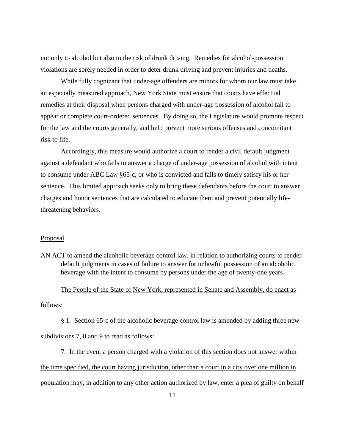not only to alcohol but also to the risk of drunk driving. Remedies for alcohol-possession violations are sorely needed in order to deter drunk driving and prevent injuries and deaths.

While fully cognizant that under-age offenders are minors for whom our law must take an especially measured approach, New York State must ensure that courts have effectual remedies at their disposal when persons charged with under-age possession of alcohol fail to appear or complete court-ordered sentences. By doing so, the Legislature would promote respect for the law and the courts generally, and help prevent more serious offenses and concomitant risk to life.

Accordingly, this measure would authorize a court to render a civil default judgment against a defendant who fails to answer a charge of under-age possession of alcohol with intent to consume under ABC Law §65-c, or who is convicted and fails to timely satisfy his or her sentence. This limited approach seeks only to bring these defendants before the court to answer charges and honor sentences that are calculated to educate them and prevent potentially lifethreatening behaviors.

## **Proposal**

AN ACT to amend the alcoholic beverage control law, in relation to authorizing courts to render default judgments in cases of failure to answer for unlawful possession of an alcoholic beverage with the intent to consume by persons under the age of twenty-one years

The People of the State of New York, represented in Senate and Assembly, do enact as follows:

§ 1. Section 65-c of the alcoholic beverage control law is amended by adding three new subdivisions 7, 8 and 9 to read as follows:

7. In the event a person charged with a violation of this section does not answer within the time specified, the court having jurisdiction, other than a court in a city over one million in population may, in addition to any other action authorized by law, enter a plea of guilty on behalf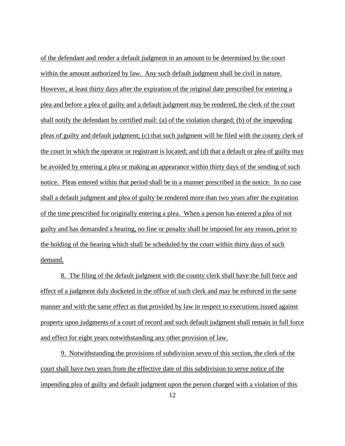of the defendant and render a default judgment in an amount to be determined by the court within the amount authorized by law. Any such default judgment shall be civil in nature. However, at least thirty days after the expiration of the original date prescribed for entering a plea and before a plea of guilty and a default judgment may be rendered, the clerk of the court shall notify the defendant by certified mail: (a) of the violation charged; (b) of the impending pleas of guilty and default judgment; (c) that such judgment will be filed with the county clerk of the court in which the operator or registrant is located; and (d) that a default or plea of guilty may be avoided by entering a plea or making an appearance within thirty days of the sending of such notice. Pleas entered within that period shall be in a manner prescribed in the notice. In no case shall a default judgment and plea of guilty be rendered more than two years after the expiration of the time prescribed for originally entering a plea. When a person has entered a plea of not guilty and has demanded a hearing, no fine or penalty shall be imposed for any reason, prior to the holding of the hearing which shall be scheduled by the court within thirty days of such demand.

8. The filing of the default judgment with the county clerk shall have the full force and effect of a judgment duly docketed in the office of such clerk and may be enforced in the same manner and with the same effect as that provided by law in respect to executions issued against property upon judgments of a court of record and such default judgment shall remain in full force and effect for eight years notwithstanding any other provision of law.

9. Notwithstanding the provisions of subdivision seven of this section, the clerk of the court shall have two years from the effective date of this subdivision to serve notice of the impending plea of guilty and default judgment upon the person charged with a violation of this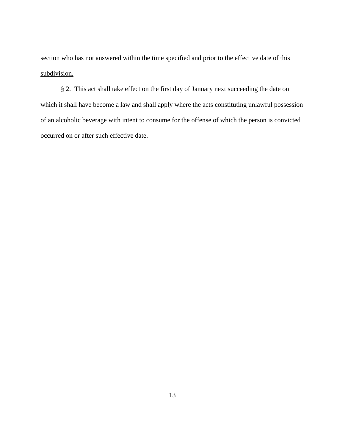section who has not answered within the time specified and prior to the effective date of this subdivision.

§ 2. This act shall take effect on the first day of January next succeeding the date on which it shall have become a law and shall apply where the acts constituting unlawful possession of an alcoholic beverage with intent to consume for the offense of which the person is convicted occurred on or after such effective date.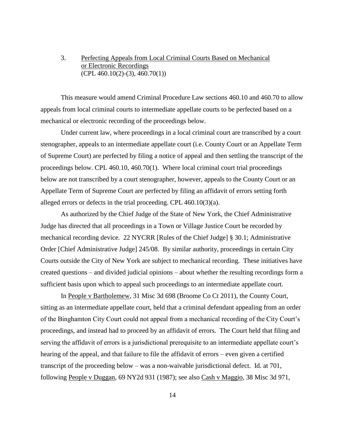# 3. Perfecting Appeals from Local Criminal Courts Based on Mechanical or Electronic Recordings  $(CPL 460.10(2)-(3), 460.70(1))$

This measure would amend Criminal Procedure Law sections 460.10 and 460.70 to allow appeals from local criminal courts to intermediate appellate courts to be perfected based on a mechanical or electronic recording of the proceedings below.

Under current law, where proceedings in a local criminal court are transcribed by a court stenographer, appeals to an intermediate appellate court (i.e. County Court or an Appellate Term of Supreme Court) are perfected by filing a notice of appeal and then settling the transcript of the proceedings below. CPL 460.10, 460.70(1). Where local criminal court trial proceedings below are not transcribed by a court stenographer, however, appeals to the County Court or an Appellate Term of Supreme Court are perfected by filing an affidavit of errors setting forth alleged errors or defects in the trial proceeding. CPL 460.10(3)(a).

As authorized by the Chief Judge of the State of New York, the Chief Administrative Judge has directed that all proceedings in a Town or Village Justice Court be recorded by mechanical recording device. 22 NYCRR [Rules of the Chief Judge] § 30.1; Administrative Order [Chief Administrative Judge] 245/08. By similar authority, proceedings in certain City Courts outside the City of New York are subject to mechanical recording. These initiatives have created questions – and divided judicial opinions – about whether the resulting recordings form a sufficient basis upon which to appeal such proceedings to an intermediate appellate court.

In People v Bartholemew, 31 Misc 3d 698 (Broome Co Ct 2011), the County Court, sitting as an intermediate appellate court, held that a criminal defendant appealing from an order of the Binghamton City Court could not appeal from a mechanical recording of the City Court's proceedings, and instead had to proceed by an affidavit of errors. The Court held that filing and serving the affidavit of errors is a jurisdictional prerequisite to an intermediate appellate court's hearing of the appeal, and that failure to file the affidavit of errors – even given a certified transcript of the proceeding below – was a non-waivable jurisdictional defect. Id. at 701, following People v Duggan, 69 NY2d 931 (1987); see also Cash v Maggio, 38 Misc 3d 971,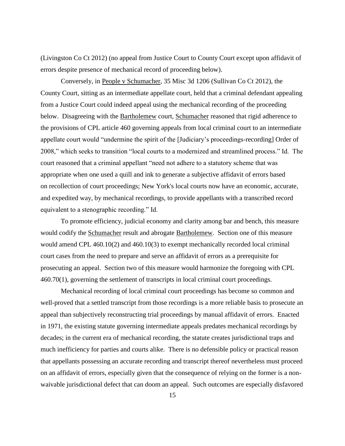(Livingston Co Ct 2012) (no appeal from Justice Court to County Court except upon affidavit of errors despite presence of mechanical record of proceeding below).

Conversely, in People v Schumacher, 35 Misc 3d 1206 (Sullivan Co Ct 2012), the County Court, sitting as an intermediate appellate court, held that a criminal defendant appealing from a Justice Court could indeed appeal using the mechanical recording of the proceeding below. Disagreeing with the Bartholemew court, Schumacher reasoned that rigid adherence to the provisions of CPL article 460 governing appeals from local criminal court to an intermediate appellate court would "undermine the spirit of the [Judiciary's proceedings-recording] Order of 2008," which seeks to transition "local courts to a modernized and streamlined process." Id. The court reasoned that a criminal appellant "need not adhere to a statutory scheme that was appropriate when one used a quill and ink to generate a subjective affidavit of errors based on recollection of court proceedings; New York's local courts now have an economic, accurate, and expedited way, by mechanical recordings, to provide appellants with a transcribed record equivalent to a stenographic recording." Id.

To promote efficiency, judicial economy and clarity among bar and bench, this measure would codify the Schumacher result and abrogate Bartholemew. Section one of this measure would amend CPL 460.10(2) and 460.10(3) to exempt mechanically recorded local criminal court cases from the need to prepare and serve an affidavit of errors as a prerequisite for prosecuting an appeal. Section two of this measure would harmonize the foregoing with CPL 460.70(1), governing the settlement of transcripts in local criminal court proceedings.

Mechanical recording of local criminal court proceedings has become so common and well-proved that a settled transcript from those recordings is a more reliable basis to prosecute an appeal than subjectively reconstructing trial proceedings by manual affidavit of errors. Enacted in 1971, the existing statute governing intermediate appeals predates mechanical recordings by decades; in the current era of mechanical recording, the statute creates jurisdictional traps and much inefficiency for parties and courts alike. There is no defensible policy or practical reason that appellants possessing an accurate recording and transcript thereof nevertheless must proceed on an affidavit of errors, especially given that the consequence of relying on the former is a nonwaivable jurisdictional defect that can doom an appeal. Such outcomes are especially disfavored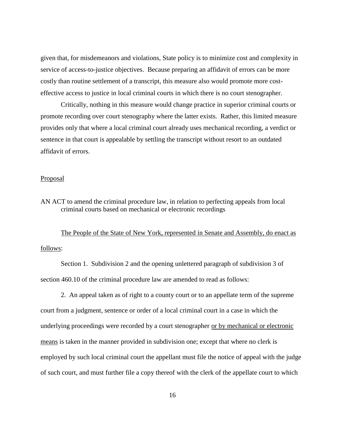given that, for misdemeanors and violations, State policy is to minimize cost and complexity in service of access-to-justice objectives. Because preparing an affidavit of errors can be more costly than routine settlement of a transcript, this measure also would promote more costeffective access to justice in local criminal courts in which there is no court stenographer.

Critically, nothing in this measure would change practice in superior criminal courts or promote recording over court stenography where the latter exists. Rather, this limited measure provides only that where a local criminal court already uses mechanical recording, a verdict or sentence in that court is appealable by settling the transcript without resort to an outdated affidavit of errors.

#### **Proposal**

AN ACT to amend the criminal procedure law, in relation to perfecting appeals from local criminal courts based on mechanical or electronic recordings

The People of the State of New York, represented in Senate and Assembly, do enact as follows:

Section 1. Subdivision 2 and the opening unlettered paragraph of subdivision 3 of section 460.10 of the criminal procedure law are amended to read as follows:

2. An appeal taken as of right to a county court or to an appellate term of the supreme court from a judgment, sentence or order of a local criminal court in a case in which the underlying proceedings were recorded by a court stenographer or by mechanical or electronic means is taken in the manner provided in subdivision one; except that where no clerk is employed by such local criminal court the appellant must file the notice of appeal with the judge of such court, and must further file a copy thereof with the clerk of the appellate court to which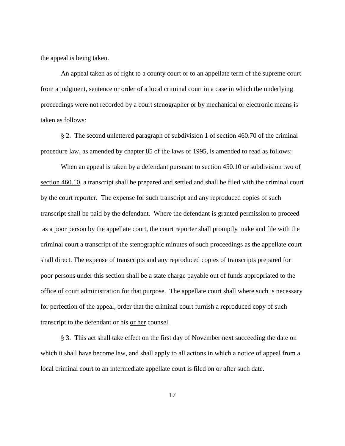the appeal is being taken.

An appeal taken as of right to a county court or to an appellate term of the supreme court from a judgment, sentence or order of a local criminal court in a case in which the underlying proceedings were not recorded by a court stenographer or by mechanical or electronic means is taken as follows:

§ 2. The second unlettered paragraph of subdivision 1 of section 460.70 of the criminal procedure law, as amended by chapter 85 of the laws of 1995, is amended to read as follows:

When an appeal is taken by a defendant pursuant to section 450.10 or subdivision two of section 460.10, a transcript shall be prepared and settled and shall be filed with the criminal court by the court reporter. The expense for such transcript and any reproduced copies of such transcript shall be paid by the defendant. Where the defendant is granted permission to proceed as a poor person by the appellate court, the court reporter shall promptly make and file with the criminal court a transcript of the stenographic minutes of such proceedings as the appellate court shall direct. The expense of transcripts and any reproduced copies of transcripts prepared for poor persons under this section shall be a state charge payable out of funds appropriated to the office of court administration for that purpose. The appellate court shall where such is necessary for perfection of the appeal, order that the criminal court furnish a reproduced copy of such transcript to the defendant or his or her counsel.

§ 3. This act shall take effect on the first day of November next succeeding the date on which it shall have become law, and shall apply to all actions in which a notice of appeal from a local criminal court to an intermediate appellate court is filed on or after such date.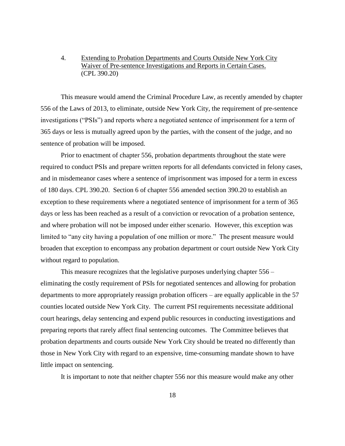# 4. Extending to Probation Departments and Courts Outside New York City Waiver of Pre-sentence Investigations and Reports in Certain Cases. (CPL 390.20)

This measure would amend the Criminal Procedure Law, as recently amended by chapter 556 of the Laws of 2013, to eliminate, outside New York City, the requirement of pre-sentence investigations ("PSIs") and reports where a negotiated sentence of imprisonment for a term of 365 days or less is mutually agreed upon by the parties, with the consent of the judge, and no sentence of probation will be imposed.

Prior to enactment of chapter 556, probation departments throughout the state were required to conduct PSIs and prepare written reports for all defendants convicted in felony cases, and in misdemeanor cases where a sentence of imprisonment was imposed for a term in excess of 180 days. CPL 390.20. Section 6 of chapter 556 amended section 390.20 to establish an exception to these requirements where a negotiated sentence of imprisonment for a term of 365 days or less has been reached as a result of a conviction or revocation of a probation sentence, and where probation will not be imposed under either scenario. However, this exception was limited to "any city having a population of one million or more." The present measure would broaden that exception to encompass any probation department or court outside New York City without regard to population.

This measure recognizes that the legislative purposes underlying chapter 556 – eliminating the costly requirement of PSIs for negotiated sentences and allowing for probation departments to more appropriately reassign probation officers – are equally applicable in the 57 counties located outside New York City. The current PSI requirements necessitate additional court hearings, delay sentencing and expend public resources in conducting investigations and preparing reports that rarely affect final sentencing outcomes. The Committee believes that probation departments and courts outside New York City should be treated no differently than those in New York City with regard to an expensive, time-consuming mandate shown to have little impact on sentencing.

It is important to note that neither chapter 556 nor this measure would make any other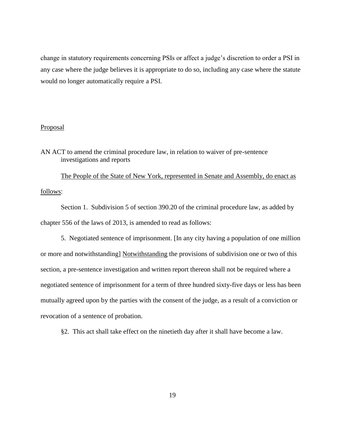change in statutory requirements concerning PSIs or affect a judge's discretion to order a PSI in any case where the judge believes it is appropriate to do so, including any case where the statute would no longer automatically require a PSI.

## Proposal

AN ACT to amend the criminal procedure law, in relation to waiver of pre-sentence investigations and reports

The People of the State of New York, represented in Senate and Assembly, do enact as follows:

Section 1. Subdivision 5 of section 390.20 of the criminal procedure law, as added by chapter 556 of the laws of 2013, is amended to read as follows:

5. Negotiated sentence of imprisonment. [In any city having a population of one million or more and notwithstanding] Notwithstanding the provisions of subdivision one or two of this section, a pre-sentence investigation and written report thereon shall not be required where a negotiated sentence of imprisonment for a term of three hundred sixty-five days or less has been mutually agreed upon by the parties with the consent of the judge, as a result of a conviction or revocation of a sentence of probation.

§2. This act shall take effect on the ninetieth day after it shall have become a law.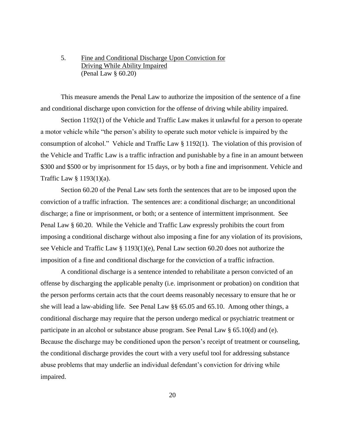# 5. Fine and Conditional Discharge Upon Conviction for Driving While Ability Impaired (Penal Law § 60.20)

This measure amends the Penal Law to authorize the imposition of the sentence of a fine and conditional discharge upon conviction for the offense of driving while ability impaired.

Section 1192(1) of the Vehicle and Traffic Law makes it unlawful for a person to operate a motor vehicle while "the person's ability to operate such motor vehicle is impaired by the consumption of alcohol." Vehicle and Traffic Law § 1192(1). The violation of this provision of the Vehicle and Traffic Law is a traffic infraction and punishable by a fine in an amount between \$300 and \$500 or by imprisonment for 15 days, or by both a fine and imprisonment. Vehicle and Traffic Law § 1193(1)(a).

Section 60.20 of the Penal Law sets forth the sentences that are to be imposed upon the conviction of a traffic infraction. The sentences are: a conditional discharge; an unconditional discharge; a fine or imprisonment, or both; or a sentence of intermittent imprisonment. See Penal Law § 60.20. While the Vehicle and Traffic Law expressly prohibits the court from imposing a conditional discharge without also imposing a fine for any violation of its provisions, see Vehicle and Traffic Law § 1193(1)(e), Penal Law section 60.20 does not authorize the imposition of a fine and conditional discharge for the conviction of a traffic infraction.

A conditional discharge is a sentence intended to rehabilitate a person convicted of an offense by discharging the applicable penalty (i.e. imprisonment or probation) on condition that the person performs certain acts that the court deems reasonably necessary to ensure that he or she will lead a law-abiding life. See Penal Law §§ 65.05 and 65.10. Among other things, a conditional discharge may require that the person undergo medical or psychiatric treatment or participate in an alcohol or substance abuse program. See Penal Law § 65.10(d) and (e). Because the discharge may be conditioned upon the person's receipt of treatment or counseling, the conditional discharge provides the court with a very useful tool for addressing substance abuse problems that may underlie an individual defendant's conviction for driving while impaired.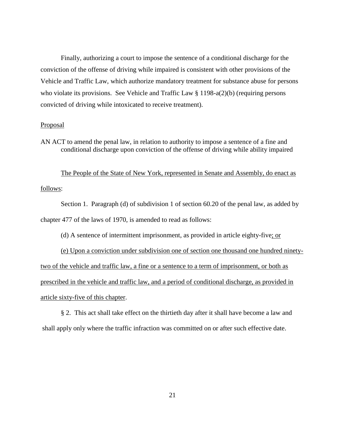Finally, authorizing a court to impose the sentence of a conditional discharge for the conviction of the offense of driving while impaired is consistent with other provisions of the Vehicle and Traffic Law, which authorize mandatory treatment for substance abuse for persons who violate its provisions. See Vehicle and Traffic Law § 1198-a(2)(b) (requiring persons convicted of driving while intoxicated to receive treatment).

## Proposal

AN ACT to amend the penal law, in relation to authority to impose a sentence of a fine and conditional discharge upon conviction of the offense of driving while ability impaired

The People of the State of New York, represented in Senate and Assembly, do enact as follows:

Section 1. Paragraph (d) of subdivision 1 of section 60.20 of the penal law, as added by chapter 477 of the laws of 1970, is amended to read as follows:

(d) A sentence of intermittent imprisonment, as provided in article eighty-five; or

(e) Upon a conviction under subdivision one of section one thousand one hundred ninetytwo of the vehicle and traffic law, a fine or a sentence to a term of imprisonment, or both as prescribed in the vehicle and traffic law, and a period of conditional discharge, as provided in article sixty-five of this chapter.

§ 2. This act shall take effect on the thirtieth day after it shall have become a law and shall apply only where the traffic infraction was committed on or after such effective date.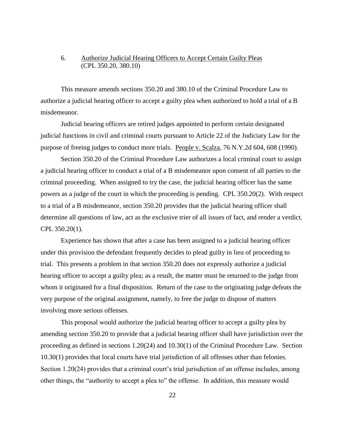# 6. Authorize Judicial Hearing Officers to Accept Certain Guilty Pleas (CPL 350.20, 380.10)

This measure amends sections 350.20 and 380.10 of the Criminal Procedure Law to authorize a judicial hearing officer to accept a guilty plea when authorized to hold a trial of a B misdemeanor.

Judicial hearing officers are retired judges appointed to perform certain designated judicial functions in civil and criminal courts pursuant to Article 22 of the Judiciary Law for the purpose of freeing judges to conduct more trials. People v. Scalza, 76 N.Y.2d 604, 608 (1990).

Section 350.20 of the Criminal Procedure Law authorizes a local criminal court to assign a judicial hearing officer to conduct a trial of a B misdemeanor upon consent of all parties to the criminal proceeding. When assigned to try the case, the judicial hearing officer has the same powers as a judge of the court in which the proceeding is pending. CPL 350.20(2). With respect to a trial of a B misdemeanor, section 350.20 provides that the judicial hearing officer shall determine all questions of law, act as the exclusive trier of all issues of fact, and render a verdict. CPL 350.20(1).

Experience has shown that after a case has been assigned to a judicial hearing officer under this provision the defendant frequently decides to plead guilty in lieu of proceeding to trial. This presents a problem in that section 350.20 does not expressly authorize a judicial hearing officer to accept a guilty plea; as a result, the matter must be returned to the judge from whom it originated for a final disposition. Return of the case to the originating judge defeats the very purpose of the original assignment, namely, to free the judge to dispose of matters involving more serious offenses.

This proposal would authorize the judicial hearing officer to accept a guilty plea by amending section 350.20 to provide that a judicial hearing officer shall have jurisdiction over the proceeding as defined in sections 1.20(24) and 10.30(1) of the Criminal Procedure Law. Section 10.30(1) provides that local courts have trial jurisdiction of all offenses other than felonies. Section 1.20(24) provides that a criminal court's trial jurisdiction of an offense includes, among other things, the "authority to accept a plea to" the offense. In addition, this measure would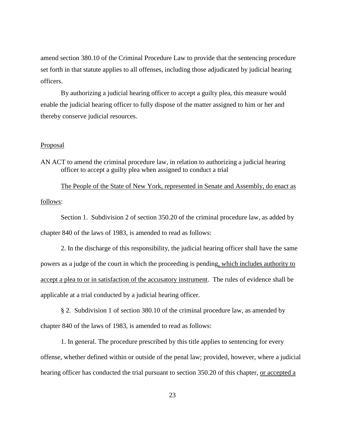amend section 380.10 of the Criminal Procedure Law to provide that the sentencing procedure set forth in that statute applies to all offenses, including those adjudicated by judicial hearing officers.

By authorizing a judicial hearing officer to accept a guilty plea, this measure would enable the judicial hearing officer to fully dispose of the matter assigned to him or her and thereby conserve judicial resources.

# Proposal

AN ACT to amend the criminal procedure law, in relation to authorizing a judicial hearing officer to accept a guilty plea when assigned to conduct a trial

The People of the State of New York, represented in Senate and Assembly, do enact as follows:

Section 1. Subdivision 2 of section 350.20 of the criminal procedure law, as added by chapter 840 of the laws of 1983, is amended to read as follows:

2. In the discharge of this responsibility, the judicial hearing officer shall have the same powers as a judge of the court in which the proceeding is pending, which includes authority to accept a plea to or in satisfaction of the accusatory instrument. The rules of evidence shall be applicable at a trial conducted by a judicial hearing officer.

§ 2. Subdivision 1 of section 380.10 of the criminal procedure law, as amended by chapter 840 of the laws of 1983, is amended to read as follows:

1. In general. The procedure prescribed by this title applies to sentencing for every offense, whether defined within or outside of the penal law; provided, however, where a judicial hearing officer has conducted the trial pursuant to section 350.20 of this chapter, or accepted a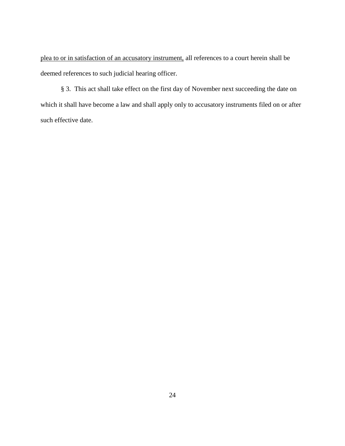plea to or in satisfaction of an accusatory instrument, all references to a court herein shall be deemed references to such judicial hearing officer.

§ 3. This act shall take effect on the first day of November next succeeding the date on which it shall have become a law and shall apply only to accusatory instruments filed on or after such effective date.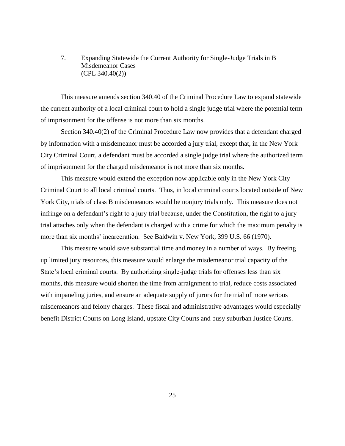# 7. Expanding Statewide the Current Authority for Single-Judge Trials in B Misdemeanor Cases (CPL 340.40(2))

This measure amends section 340.40 of the Criminal Procedure Law to expand statewide the current authority of a local criminal court to hold a single judge trial where the potential term of imprisonment for the offense is not more than six months.

Section 340.40(2) of the Criminal Procedure Law now provides that a defendant charged by information with a misdemeanor must be accorded a jury trial, except that, in the New York City Criminal Court, a defendant must be accorded a single judge trial where the authorized term of imprisonment for the charged misdemeanor is not more than six months.

This measure would extend the exception now applicable only in the New York City Criminal Court to all local criminal courts. Thus, in local criminal courts located outside of New York City, trials of class B misdemeanors would be nonjury trials only. This measure does not infringe on a defendant's right to a jury trial because, under the Constitution, the right to a jury trial attaches only when the defendant is charged with a crime for which the maximum penalty is more than six months' incarceration. See Baldwin v. New York, 399 U.S. 66 (1970).

This measure would save substantial time and money in a number of ways. By freeing up limited jury resources, this measure would enlarge the misdemeanor trial capacity of the State's local criminal courts. By authorizing single-judge trials for offenses less than six months, this measure would shorten the time from arraignment to trial, reduce costs associated with impaneling juries, and ensure an adequate supply of jurors for the trial of more serious misdemeanors and felony charges. These fiscal and administrative advantages would especially benefit District Courts on Long Island, upstate City Courts and busy suburban Justice Courts.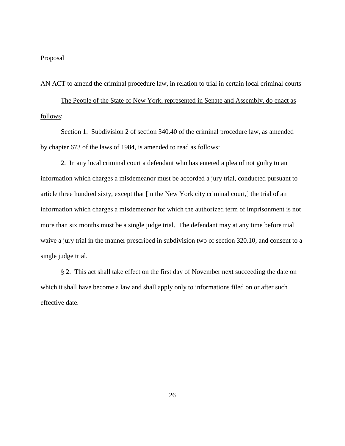#### **Proposal**

AN ACT to amend the criminal procedure law, in relation to trial in certain local criminal courts

The People of the State of New York, represented in Senate and Assembly, do enact as follows:

Section 1. Subdivision 2 of section 340.40 of the criminal procedure law, as amended by chapter 673 of the laws of 1984, is amended to read as follows:

2. In any local criminal court a defendant who has entered a plea of not guilty to an information which charges a misdemeanor must be accorded a jury trial, conducted pursuant to article three hundred sixty, except that [in the New York city criminal court,] the trial of an information which charges a misdemeanor for which the authorized term of imprisonment is not more than six months must be a single judge trial. The defendant may at any time before trial waive a jury trial in the manner prescribed in subdivision two of section 320.10, and consent to a single judge trial.

§ 2. This act shall take effect on the first day of November next succeeding the date on which it shall have become a law and shall apply only to informations filed on or after such effective date.

26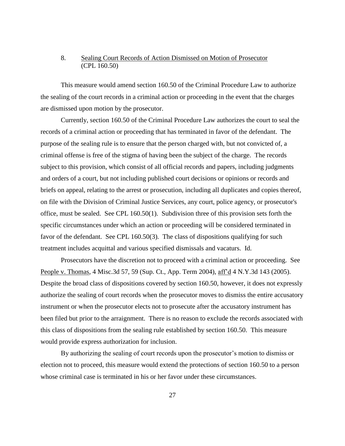# 8. Sealing Court Records of Action Dismissed on Motion of Prosecutor (CPL 160.50)

This measure would amend section 160.50 of the Criminal Procedure Law to authorize the sealing of the court records in a criminal action or proceeding in the event that the charges are dismissed upon motion by the prosecutor.

Currently, section 160.50 of the Criminal Procedure Law authorizes the court to seal the records of a criminal action or proceeding that has terminated in favor of the defendant. The purpose of the sealing rule is to ensure that the person charged with, but not convicted of, a criminal offense is free of the stigma of having been the subject of the charge. The records subject to this provision, which consist of all official records and papers, including judgments and orders of a court, but not including published court decisions or opinions or records and briefs on appeal, relating to the arrest or prosecution, including all duplicates and copies thereof, on file with the Division of Criminal Justice Services, any court, police agency, or prosecutor's office, must be sealed. See CPL 160.50(1). Subdivision three of this provision sets forth the specific circumstances under which an action or proceeding will be considered terminated in favor of the defendant. See CPL 160.50(3). The class of dispositions qualifying for such treatment includes acquittal and various specified dismissals and vacaturs. Id.

Prosecutors have the discretion not to proceed with a criminal action or proceeding. See People v. Thomas, 4 Misc.3d 57, 59 (Sup. Ct., App. Term 2004), aff'd 4 N.Y.3d 143 (2005). Despite the broad class of dispositions covered by section 160.50, however, it does not expressly authorize the sealing of court records when the prosecutor moves to dismiss the entire accusatory instrument or when the prosecutor elects not to prosecute after the accusatory instrument has been filed but prior to the arraignment. There is no reason to exclude the records associated with this class of dispositions from the sealing rule established by section 160.50. This measure would provide express authorization for inclusion.

By authorizing the sealing of court records upon the prosecutor's motion to dismiss or election not to proceed, this measure would extend the protections of section 160.50 to a person whose criminal case is terminated in his or her favor under these circumstances.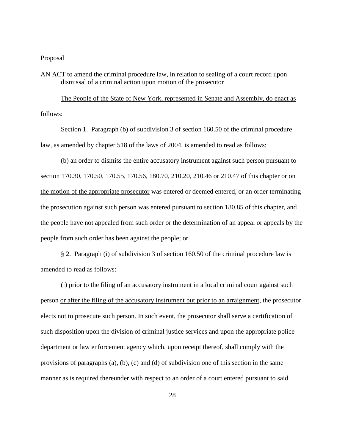## **Proposal**

AN ACT to amend the criminal procedure law, in relation to sealing of a court record upon dismissal of a criminal action upon motion of the prosecutor

The People of the State of New York, represented in Senate and Assembly, do enact as follows:

Section 1. Paragraph (b) of subdivision 3 of section 160.50 of the criminal procedure law, as amended by chapter 518 of the laws of 2004, is amended to read as follows:

(b) an order to dismiss the entire accusatory instrument against such person pursuant to section 170.30, 170.50, 170.55, 170.56, 180.70, 210.20, 210.46 or 210.47 of this chapter or on the motion of the appropriate prosecutor was entered or deemed entered, or an order terminating the prosecution against such person was entered pursuant to section 180.85 of this chapter, and the people have not appealed from such order or the determination of an appeal or appeals by the people from such order has been against the people; or

§ 2. Paragraph (i) of subdivision 3 of section 160.50 of the criminal procedure law is amended to read as follows:

(i) prior to the filing of an accusatory instrument in a local criminal court against such person or after the filing of the accusatory instrument but prior to an arraignment, the prosecutor elects not to prosecute such person. In such event, the prosecutor shall serve a certification of such disposition upon the division of criminal justice services and upon the appropriate police department or law enforcement agency which, upon receipt thereof, shall comply with the provisions of paragraphs (a), (b), (c) and (d) of subdivision one of this section in the same manner as is required thereunder with respect to an order of a court entered pursuant to said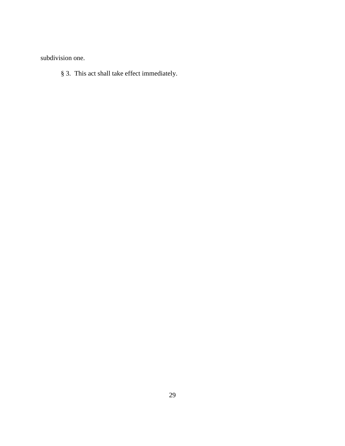subdivision one.

§ 3. This act shall take effect immediately.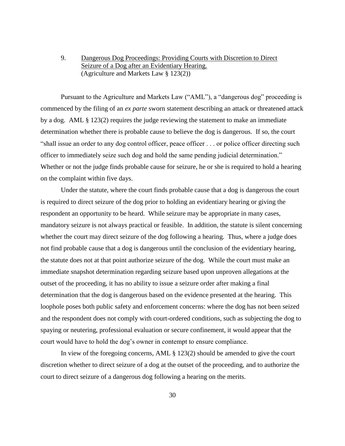9. Dangerous Dog Proceedings: Providing Courts with Discretion to Direct Seizure of a Dog after an Evidentiary Hearing. (Agriculture and Markets Law § 123(2))

Pursuant to the Agriculture and Markets Law ("AML"), a "dangerous dog" proceeding is commenced by the filing of an *ex parte* sworn statement describing an attack or threatened attack by a dog. AML  $\S$  123(2) requires the judge reviewing the statement to make an immediate determination whether there is probable cause to believe the dog is dangerous. If so, the court "shall issue an order to any dog control officer, peace officer . . . or police officer directing such officer to immediately seize such dog and hold the same pending judicial determination." Whether or not the judge finds probable cause for seizure, he or she is required to hold a hearing on the complaint within five days.

Under the statute, where the court finds probable cause that a dog is dangerous the court is required to direct seizure of the dog prior to holding an evidentiary hearing or giving the respondent an opportunity to be heard. While seizure may be appropriate in many cases, mandatory seizure is not always practical or feasible. In addition, the statute is silent concerning whether the court may direct seizure of the dog following a hearing. Thus, where a judge does not find probable cause that a dog is dangerous until the conclusion of the evidentiary hearing, the statute does not at that point authorize seizure of the dog. While the court must make an immediate snapshot determination regarding seizure based upon unproven allegations at the outset of the proceeding, it has no ability to issue a seizure order after making a final determination that the dog is dangerous based on the evidence presented at the hearing. This loophole poses both public safety and enforcement concerns: where the dog has not been seized and the respondent does not comply with court-ordered conditions, such as subjecting the dog to spaying or neutering, professional evaluation or secure confinement, it would appear that the court would have to hold the dog's owner in contempt to ensure compliance.

In view of the foregoing concerns, AML § 123(2) should be amended to give the court discretion whether to direct seizure of a dog at the outset of the proceeding, and to authorize the court to direct seizure of a dangerous dog following a hearing on the merits.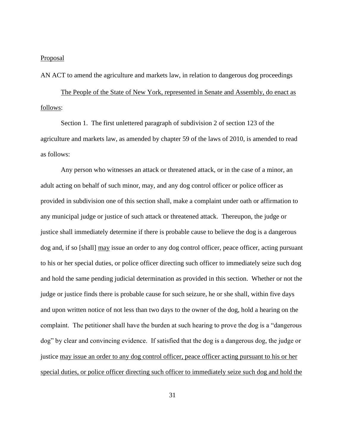## **Proposal**

AN ACT to amend the agriculture and markets law, in relation to dangerous dog proceedings

The People of the State of New York, represented in Senate and Assembly, do enact as follows:

Section 1. The first unlettered paragraph of subdivision 2 of section 123 of the agriculture and markets law, as amended by chapter 59 of the laws of 2010, is amended to read as follows:

Any person who witnesses an attack or threatened attack, or in the case of a minor, an adult acting on behalf of such minor, may, and any dog control officer or police officer as provided in subdivision one of this section shall, make a complaint under oath or affirmation to any municipal judge or justice of such attack or threatened attack. Thereupon, the judge or justice shall immediately determine if there is probable cause to believe the dog is a dangerous dog and, if so [shall] may issue an order to any dog control officer, peace officer, acting pursuant to his or her special duties, or police officer directing such officer to immediately seize such dog and hold the same pending judicial determination as provided in this section. Whether or not the judge or justice finds there is probable cause for such seizure, he or she shall, within five days and upon written notice of not less than two days to the owner of the dog, hold a hearing on the complaint. The petitioner shall have the burden at such hearing to prove the dog is a "dangerous dog" by clear and convincing evidence. If satisfied that the dog is a dangerous dog, the judge or justice may issue an order to any dog control officer, peace officer acting pursuant to his or her special duties, or police officer directing such officer to immediately seize such dog and hold the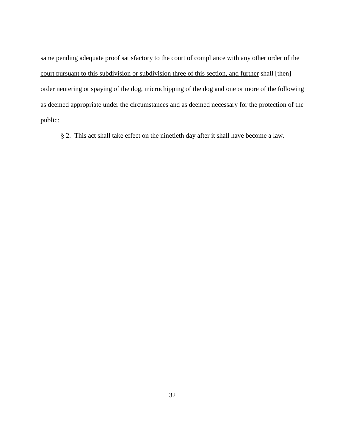same pending adequate proof satisfactory to the court of compliance with any other order of the court pursuant to this subdivision or subdivision three of this section, and further shall [then] order neutering or spaying of the dog, microchipping of the dog and one or more of the following as deemed appropriate under the circumstances and as deemed necessary for the protection of the public:

§ 2. This act shall take effect on the ninetieth day after it shall have become a law.